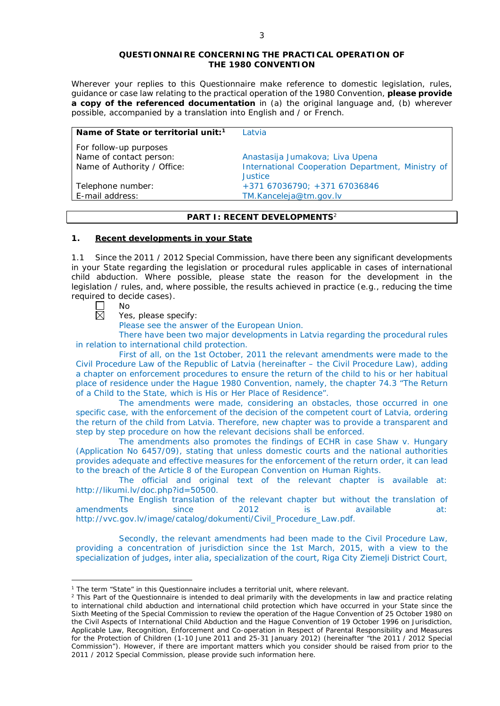#### **QUESTIONNAIRE CONCERNING THE PRACTICAL OPERATION OF THE 1980 CONVENTION**

*Wherever your replies to this Questionnaire make reference to domestic legislation, rules, guidance or case law relating to the practical operation of the 1980 Convention, please provide a copy of the referenced documentation in (a) the original language and, (b) wherever possible, accompanied by a translation into English and / or French.* 

| Name of State or territorial unit: <sup>1</sup>   | <b>Latvia</b>                                                       |
|---------------------------------------------------|---------------------------------------------------------------------|
| For follow-up purposes<br>Name of contact person: | Anastasija Jumakova; Liva Upena                                     |
| Name of Authority / Office:                       | International Cooperation Department, Ministry of<br><b>Justice</b> |
| Telephone number:                                 | +371 67036790; +371 67036846                                        |
| E-mail address:                                   | TM.Kanceleja@tm.gov.lv                                              |

# **PART I: RECENT DEVELOPMENTS**<sup>2</sup>

# **1. Recent developments in your State**

1.1 Since the 2011 / 2012 Special Commission, have there been any significant developments in your State regarding the legislation or procedural rules applicable in cases of international child abduction. Where possible, please state the reason for the development in the legislation / rules, and, where possible, the results achieved in practice (*e.g.*, reducing the time required to decide cases).

П 岗

<u>.</u>

No

Yes, please specify:

Please see the answer of the European Union.

There have been two major developments in Latvia regarding the procedural rules in relation to international child protection.

First of all, on the 1st October, 2011 the relevant amendments were made to the Civil Procedure Law of the Republic of Latvia (hereinafter – the Civil Procedure Law), adding a chapter on enforcement procedures to ensure the return of the child to his or her habitual place of residence under the Hague 1980 Convention, namely, the chapter 74.3 "The Return of a Child to the State, which is His or Her Place of Residence".

The amendments were made, considering an obstacles, those occurred in one specific case, with the enforcement of the decision of the competent court of Latvia, ordering the return of the child from Latvia. Therefore, new chapter was to provide a transparent and step by step procedure on how the relevant decisions shall be enforced.

The amendments also promotes the findings of ECHR in case Shaw v. Hungary (Application No 6457/09), stating that unless domestic courts and the national authorities provides adequate and effective measures for the enforcement of the return order, it can lead to the breach of the Article 8 of the European Convention on Human Rights.

The official and original text of the relevant chapter is available at: http://likumi.lv/doc.php?id=50500.

The English translation of the relevant chapter but without the translation of amendments since 2012 is available at: http://vvc.gov.lv/image/catalog/dokumenti/Civil\_Procedure\_Law.pdf.

Secondly, the relevant amendments had been made to the Civil Procedure Law, providing a concentration of jurisdiction since the 1st March, 2015, with a view to the specialization of judges, inter alia, specialization of the court, Riga City Ziemeļi District Court,

<sup>&</sup>lt;sup>1</sup> The term "State" in this Questionnaire includes a territorial unit, where relevant.

<sup>&</sup>lt;sup>2</sup> This Part of the Questionnaire is intended to deal primarily with the developments in law and practice relating to international child abduction and international child protection which have occurred in your State since the Sixth Meeting of the Special Commission to review the operation of the *Hague Convention of 25 October 1980 on the Civil Aspects of International Child Abduction* and the *Hague Convention of 19 October 1996 on Jurisdiction, Applicable Law, Recognition, Enforcement and Co-operation in Respect of Parental Responsibility and Measures for the Protection of Children* (1-10 June 2011 and 25-31 January 2012) (hereinafter "the 2011 / 2012 Special Commission"). However, if there are important matters which you consider should be raised from *prior to* the 2011 / 2012 Special Commission, please provide such information here.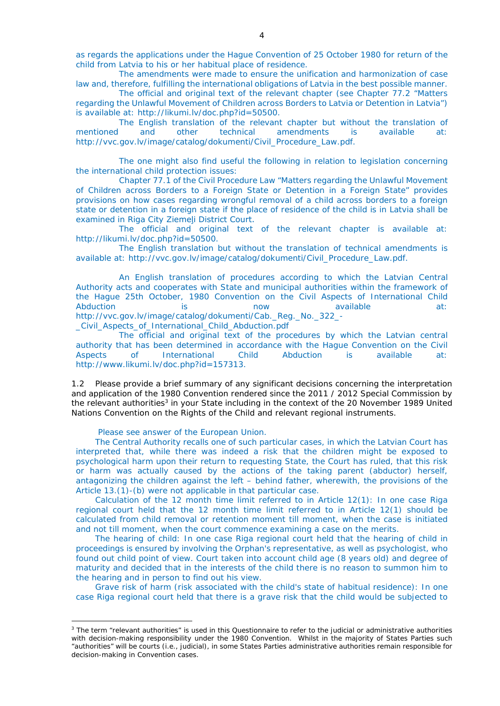as regards the applications under the Hague Convention of 25 October 1980 for return of the child from Latvia to his or her habitual place of residence.

The amendments were made to ensure the unification and harmonization of case law and, therefore, fulfilling the international obligations of Latvia in the best possible manner.

The official and original text of the relevant chapter (see Chapter 77.2 "Matters regarding the Unlawful Movement of Children across Borders to Latvia or Detention in Latvia") is available at: http://likumi.lv/doc.php?id=50500.

The English translation of the relevant chapter but without the translation of mentioned and other technical amendments is available at: http://vvc.gov.lv/image/catalog/dokumenti/Civil\_Procedure\_Law.pdf.

The one might also find useful the following in relation to legislation concerning the international child protection issues:

Chapter 77.1 of the Civil Procedure Law "Matters regarding the Unlawful Movement of Children across Borders to a Foreign State or Detention in a Foreign State" provides provisions on how cases regarding wrongful removal of a child across borders to a foreign state or detention in a foreign state if the place of residence of the child is in Latvia shall be examined in Riga City Ziemeli District Court.

The official and original text of the relevant chapter is available at: http://likumi.lv/doc.php?id=50500.

The English translation but without the translation of technical amendments is available at: http://vvc.gov.lv/image/catalog/dokumenti/Civil\_Procedure\_Law.pdf.

An English translation of procedures according to which the Latvian Central Authority acts and cooperates with State and municipal authorities within the framework of the Hague 25th October, 1980 Convention on the Civil Aspects of International Child Abduction is is now available at: http://vvc.gov.lv/image/catalog/dokumenti/Cab.\_Reg.\_No.\_322\_-

\_Civil\_Aspects\_of\_International\_Child\_Abduction.pdf

The official and original text of the procedures by which the Latvian central authority that has been determined in accordance with the Hague Convention on the Civil Aspects of International Child Abduction is available at: http://www.likumi.lv/doc.php?id=157313.

1.2 Please provide a brief summary of any significant decisions concerning the interpretation and application of the 1980 Convention rendered since the 2011 / 2012 Special Commission by the relevant authorities<sup>3</sup> in your State including in the context of the 20 November 1989 United Nations Convention on the Rights of the Child and relevant regional instruments.

Please see answer of the European Union.

-

The Central Authority recalls one of such particular cases, in which the Latvian Court has interpreted that, while there was indeed a risk that the children might be exposed to psychological harm upon their return to requesting State, the Court has ruled, that this risk or harm was actually caused by the actions of the taking parent (abductor) herself, antagonizing the children against the left – behind father, wherewith, the provisions of the Article 13.(1)-(b) were not applicable in that particular case.

Calculation of the 12 month time limit referred to in Article 12(1): In one case Riga regional court held that the 12 month time limit referred to in Article 12(1) should be calculated from child removal or retention moment till moment, when the case is initiated and not till moment, when the court commence examining a case on the merits.

The hearing of child: In one case Riga regional court held that the hearing of child in proceedings is ensured by involving the Orphan's representative, as well as psychologist, who found out child point of view. Court taken into account child age (8 years old) and degree of maturity and decided that in the interests of the child there is no reason to summon him to the hearing and in person to find out his view.

Grave risk of harm (risk associated with the child's state of habitual residence): In one case Riga regional court held that there is a grave risk that the child would be subjected to

<sup>&</sup>lt;sup>3</sup> The term "relevant authorities" is used in this Questionnaire to refer to the judicial or administrative authorities with decision-making responsibility under the 1980 Convention. Whilst in the majority of States Parties such "authorities" will be courts (*i.e.*, judicial), in some States Parties administrative authorities remain responsible for decision-making in Convention cases.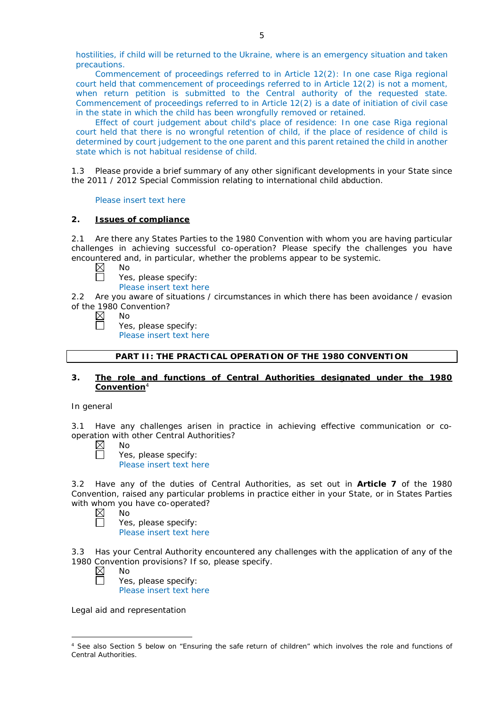hostilities, if child will be returned to the Ukraine, where is an emergency situation and taken precautions.

Commencement of proceedings referred to in Article 12(2): In one case Riga regional court held that commencement of proceedings referred to in Article 12(2) is not a moment, when return petition is submitted to the Central authority of the requested state. Commencement of proceedings referred to in Article 12(2) is a date of initiation of civil case in the state in which the child has been wrongfully removed or retained.

Effect of court judgement about child's place of residence: In one case Riga regional court held that there is no wrongful retention of child, if the place of residence of child is determined by court judgement to the one parent and this parent retained the child in another state which is not habitual residense of child.

1.3 Please provide a brief summary of any other significant developments in your State since the 2011 / 2012 Special Commission relating to international child abduction.

Please insert text here

## **2. Issues of compliance**

2.1 Are there any States Parties to the 1980 Convention with whom you are having particular challenges in achieving successful co-operation? Please specify the challenges you have encountered and, in particular, whether the problems appear to be systemic.

- $\boxtimes$ No П
	- Yes, please specify:

Please insert text here

2.2 Are you aware of situations / circumstances in which there has been avoidance / evasion of the 1980 Convention?

No  $\boxtimes$ 

Yes, please specify: Please insert text here

## **PART II: THE PRACTICAL OPERATION OF THE 1980 CONVENTION**

# **3. The role and functions of Central Authorities designated under the 1980 Convention**<sup>4</sup>

#### *In general*

3.1 Have any challenges arisen in practice in achieving effective communication or cooperation with other Central Authorities? No

| 1 V U                   |  |  |
|-------------------------|--|--|
| Yes, please specify:    |  |  |
| Please insert text here |  |  |

3.2 Have any of the duties of Central Authorities, as set out in **Article 7** of the 1980 Convention, raised any particular problems in practice either in your State, or in States Parties with whom you have co-operated?

 $\boxtimes$ No 戸

Yes, please specify: Please insert text here

3.3 Has your Central Authority encountered any challenges with the application of any of the 1980 Convention provisions? If so, please specify.

 $\boxtimes$ 

Yes, please specify: Please insert text here

*Legal aid and representation*

No

<sup>-</sup><sup>4</sup> See also Section 5 below on "Ensuring the safe return of children" which involves the role and functions of Central Authorities.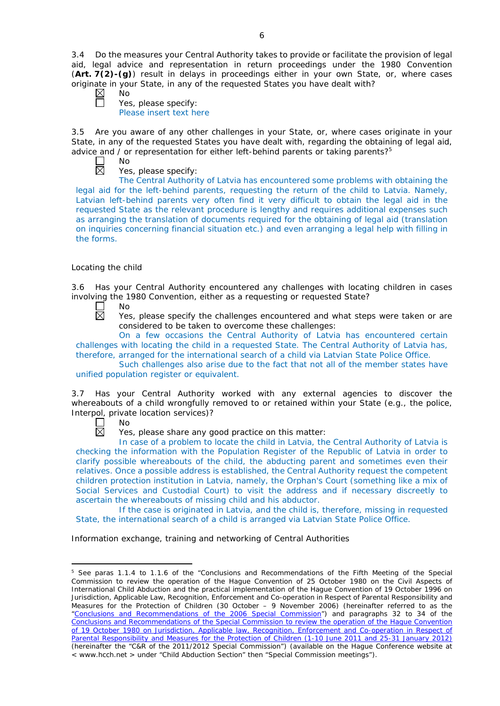3.4 Do the measures your Central Authority takes to provide or facilitate the provision of legal aid, legal advice and representation in return proceedings under the 1980 Convention (**Art. 7(2)-(g)**) result in delays in proceedings either in your own State, or, where cases originate in your State, in any of the requested States you have dealt with?

No Yes, please specify: Please insert text here

3.5 Are you aware of any other challenges in your State, or, where cases originate in your State, in any of the requested States you have dealt with, regarding the obtaining of legal aid, advice and / or representation for either left-behind parents or taking parents?<sup>5</sup>

| ۱ŀ<br>Ω |
|---------|
|         |

Yes, please specify:

The Central Authority of Latvia has encountered some problems with obtaining the legal aid for the left-behind parents, requesting the return of the child to Latvia. Namely, Latvian left-behind parents very often find it very difficult to obtain the legal aid in the requested State as the relevant procedure is lengthy and requires additional expenses such as arranging the translation of documents required for the obtaining of legal aid (translation on inquiries concerning financial situation etc.) and even arranging a legal help with filling in the forms.

# *Locating the child*

3.6 Has your Central Authority encountered any challenges with locating children in cases involving the 1980 Convention, either as a requesting or requested State?<br>  $\Box$  No<br>  $\boxtimes$  Yes, please specify the challenges encountered and what step

No

Yes, please specify the challenges encountered and what steps were taken or are considered to be taken to overcome these challenges:

On a few occasions the Central Authority of Latvia has encountered certain challenges with locating the child in a requested State. The Central Authority of Latvia has, therefore, arranged for the international search of a child via Latvian State Police Office.

Such challenges also arise due to the fact that not all of the member states have unified population register or equivalent.

3.7 Has your Central Authority worked with any external agencies to discover the whereabouts of a child wrongfully removed to or retained within your State (*e.g.*, the police, Interpol, private location services)?

No 岗

<u>.</u>

Yes, please share any good practice on this matter:

In case of a problem to locate the child in Latvia, the Central Authority of Latvia is checking the information with the Population Register of the Republic of Latvia in order to clarify possible whereabouts of the child, the abducting parent and sometimes even their relatives. Once a possible address is established, the Central Authority request the competent children protection institution in Latvia, namely, the Orphan's Court (something like a mix of Social Services and Custodial Court) to visit the address and if necessary discreetly to ascertain the whereabouts of missing child and his abductor.

If the case is originated in Latvia, and the child is, therefore, missing in requested State, the international search of a child is arranged via Latvian State Police Office.

*Information exchange, training and networking of Central Authorities*

<sup>&</sup>lt;sup>5</sup> See paras 1.1.4 to 1.1.6 of the "Conclusions and Recommendations of the Fifth Meeting of the Special Commission to review the operation of the *Hague Convention of 25 October 1980 on the Civil Aspects of International Child Abduction* and the practical implementation of the *Hague Convention of 19 October 1996 on Jurisdiction, Applicable Law, Recognition, Enforcement and Co-operation in Respect of Parental Responsibility and Measures for the Protection of Children* (30 October – 9 November 2006) (hereinafter referred to as the ["Conclusions and Recommendations of the 2006 Special Commission"](https://assets.hcch.net/upload/concl28sc5_e.pdf)) and paragraphs 32 to 34 of the [Conclusions and Recommendations of the Special Commission](https://assets.hcch.net/upload/wop/concl28sc6_e.pdf) to review the operation of the Hague Convention of *[19 October 1980 on Jurisdiction, Applicable law, Recognition, Enforcement and Co-operation in Respect of](https://assets.hcch.net/upload/wop/concl28sc6_e.pdf)  [Parental Responsibility and Measures for the Protection of Children](https://assets.hcch.net/upload/wop/concl28sc6_e.pdf)* (1-10 June 2011 and 25-31 January 2012) (hereinafter the "C&R of the 2011/2012 Special Commission") (available on the Hague Conference website at < www.hcch.net > under "Child Abduction Section" then "Special Commission meetings").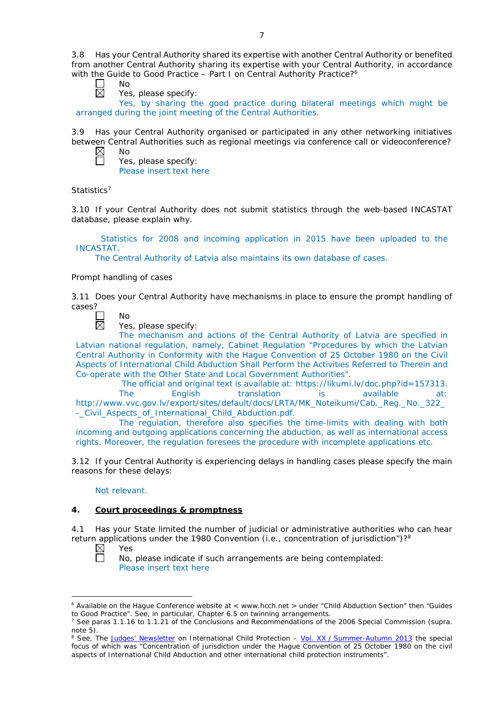3.8 Has your Central Authority shared its expertise with another Central Authority or benefited from another Central Authority sharing its expertise with your Central Authority, in accordance with the Guide to Good Practice – Part I on Central Authority Practice?<sup>6</sup>

| NΩ |
|----|
| ŕ  |

Yes, please specify:

Yes, by sharing the good practice during bilateral meetings which might be arranged during the joint meeting of the Central Authorities.

3.9 Has your Central Authority organised or participated in any other networking initiatives between Central Authorities such as regional meetings via conference call or videoconference?

No Yes, please specify:

Please insert text here

# *Statistics*<sup>7</sup>

3.10 If your Central Authority does not submit statistics through the web-based INCASTAT database, please explain why.

 Statistics for 2008 and incoming application in 2015 have been uploaded to the INCASTAT.

The Central Authority of Latvia also maintains its own database of cases.

## *Prompt handling of cases*

 $N<sub>0</sub>$ 

3.11 Does your Central Authority have mechanisms in place to ensure the prompt handling of cases?

Yes, please specify:

The mechanism and actions of the Central Authority of Latvia are specified in Latvian national regulation, namely, Cabinet Regulation "Procedures by which the Latvian Central Authority in Conformity with the Hague Convention of 25 October 1980 on the Civil Aspects of International Child Abduction Shall Perform the Activities Referred to Therein and Co-operate with the Other State and Local Government Authorities".

The official and original text is available at: https://likumi.lv/doc.php?id=157313. The English translation is available at: http://www.vvc.gov.lv/export/sites/default/docs/LRTA/MK\_Noteikumi/Cab.\_Reg.\_No.\_322\_ -\_Civil\_Aspects\_of\_International\_Child\_Abduction.pdf.

The regulation, therefore also specifies the time-limits with dealing with both incoming and outgoing applications concerning the abduction, as well as international access rights. Moreover, the regulation foresees the procedure with incomplete applications etc.

3.12 If your Central Authority is experiencing delays in handling cases please specify the main reasons for these delays:

## Not relevant.

# **4. Court proceedings & promptness**

4.1 Has your State limited the number of judicial or administrative authorities who can hear return applications under the 1980 Convention (*i.e.*, concentration of jurisdiction")?8



<u>.</u>

No, please indicate if such arrangements are being contemplated: Please insert text here

<sup>&</sup>lt;sup>6</sup> Available on the Hague Conference website at < www.hcch.net > under "Child Abduction Section" then "Guides to Good Practice". See, in particular, Chapter 6.5 on twinning arrangements.

<sup>7</sup> See paras 1.1.16 to 1.1.21 of the Conclusions and Recommendations of the 2006 Special Commission (*supra.*  note 5).

<sup>8</sup> See, *The [Judges' Newsletter](https://www.hcch.net/en/instruments/conventions/publications2/judges-newsletter)* on International Child Protection – Vol. XX / [Summer-Autumn 2013](https://assets.hcch.net/upload/newsletter/nl2013tome20en.pdf) the special focus of which was "Concentration of jurisdiction under the *Hague Convention of 25 October 1980 on the civil aspects of International Child Abduction* and other international child protection instruments".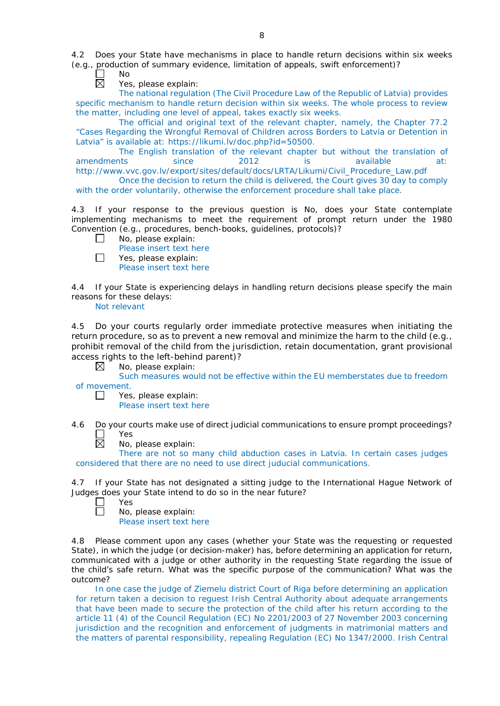4.2 Does your State have mechanisms in place to handle return decisions within six weeks (*e.g.*, production of summary evidence, limitation of appeals, swift enforcement)?

No 岗

Yes, please explain:

The national regulation (The Civil Procedure Law of the Republic of Latvia) provides specific mechanism to handle return decision within six weeks. The whole process to review the matter, including one level of appeal, takes exactly six weeks.

The official and original text of the relevant chapter, namely, the Chapter 77.2 "Cases Regarding the Wrongful Removal of Children across Borders to Latvia or Detention in Latvia" is available at: https://likumi.lv/doc.php?id=50500.

The English translation of the relevant chapter but without the translation of amendments since 2012 is available at: http://www.vvc.gov.lv/export/sites/default/docs/LRTA/Likumi/Civil\_Procedure\_Law.pdf

Once the decision to return the child is delivered, the Court gives 30 day to comply with the order voluntarily, otherwise the enforcement procedure shall take place.

4.3 If your response to the previous question is No, does your State contemplate implementing mechanisms to meet the requirement of prompt return under the 1980 Convention (*e.g.*, procedures, bench-books, guidelines, protocols)?

No, please explain:  $\Box$ 

Please insert text here

 $\Box$ Yes, please explain: Please insert text here

4.4 If your State is experiencing delays in handling return decisions please specify the main reasons for these delays:

Not relevant

4.5 Do your courts regularly order immediate protective measures when initiating the return procedure, so as to prevent a new removal and minimize the harm to the child (*e.g.*, prohibit removal of the child from the jurisdiction, retain documentation, grant provisional access rights to the left-behind parent)?

 $\boxtimes$ No, please explain:

Such measures would not be effective within the EU memberstates due to freedom of movement.

 $\perp$ Yes, please explain:

Please insert text here

4.6 Do your courts make use of direct judicial communications to ensure prompt proceedings?  $\Box$ Yes  $\boxtimes$ 

No, please explain:

There are not so many child abduction cases in Latvia. In certain cases judges considered that there are no need to use direct juducial communications.

4.7 If your State has not designated a sitting judge to the International Hague Network of Judges does your State intend to do so in the near future?

Yes  $\Box$ 

No, please explain:

Please insert text here

4.8 Please comment upon any cases (whether your State was the requesting or requested State), in which the judge (or decision-maker) has, before determining an application for return, communicated with a judge or other authority in the requesting State regarding the issue of the child's safe return. What was the specific purpose of the communication? What was the outcome?

In one case the judge of Ziemelu district Court of Riga before determining an application for return taken a decision to reguest Irish Central Authority about adequate arrangements that have been made to secure the protection of the child after his return according to the article 11 (4) of the Council Regulation (EC) No 2201/2003 of 27 November 2003 concerning jurisdiction and the recognition and enforcement of judgments in matrimonial matters and the matters of parental responsibility, repealing Regulation (EC) No 1347/2000. Irish Central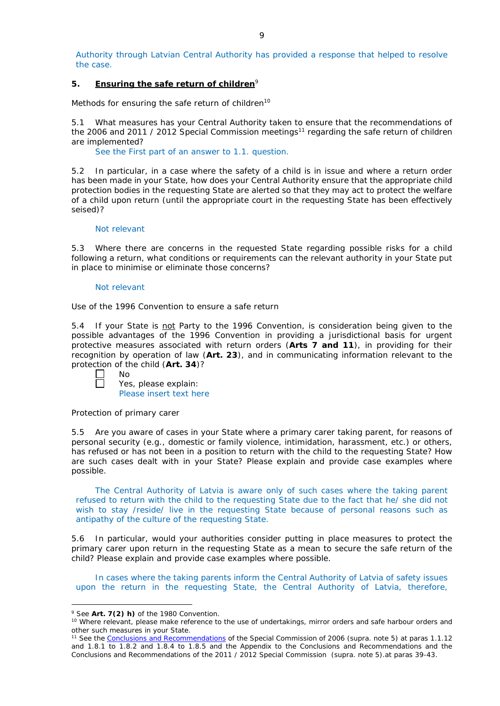Authority through Latvian Central Authority has provided a response that helped to resolve the case.

## **5. Ensuring the safe return of children**<sup>9</sup>

*Methods for ensuring the safe return of children*<sup>10</sup>

5.1 What measures has your Central Authority taken to ensure that the recommendations of the 2006 and 2011 / 2012 Special Commission meetings<sup>11</sup> regarding the safe return of children are implemented?

See the First part of an answer to 1.1. question.

5.2 In particular, in a case where the safety of a child is in issue and where a return order has been made in your State, how does your Central Authority ensure that the appropriate child protection bodies in the *requesting* State are alerted so that they may act to protect the welfare of a child upon return (until the appropriate court in the requesting State has been effectively seised)?

#### Not relevant

5.3 Where there are concerns in the requested State regarding possible risks for a child following a return, what conditions or requirements can the relevant authority in your State put in place to minimise or eliminate those concerns?

#### Not relevant

#### *Use of the 1996 Convention to ensure a safe return*

5.4 If your State is not Party to the 1996 Convention, is consideration being given to the possible advantages of the 1996 Convention in providing a jurisdictional basis for urgent protective measures associated with return orders (**Arts 7 and 11**), in providing for their recognition by operation of law (**Art. 23**), and in communicating information relevant to the protection of the child (**Art. 34**)?

 $\Box$ No Yes, please explain: Please insert text here

# *Protection of primary carer*

5.5 Are you aware of cases in your State where a primary carer taking parent, for reasons of personal security (*e.g.*, domestic or family violence, intimidation, harassment, etc.) or others, has refused or has not been in a position to return with the child to the requesting State? How are such cases dealt with in your State? Please explain and provide case examples where possible.

The Central Authority of Latvia is aware only of such cases where the taking parent refused to return with the child to the requesting State due to the fact that he/ she did not wish to stay /reside/ live in the requesting State because of personal reasons such as antipathy of the culture of the requesting State.

5.6 In particular, would your authorities consider putting in place measures to protect the primary carer upon return in the requesting State as a mean to secure the safe return of the child? Please explain and provide case examples where possible.

In cases where the taking parents inform the Central Authority of Latvia of safety issues upon the return in the requesting State, the Central Authority of Latvia, therefore,

-

<sup>9</sup> See **Art. 7(2)** *h)* of the 1980 Convention.

<sup>&</sup>lt;sup>10</sup> Where relevant, please make reference to the use of undertakings, mirror orders and safe harbour orders and other such measures in your State.

<sup>11</sup> See the [Conclusions and Recommendations](https://assets.hcch.net/upload/concl28sc5_e.pdf) of the Special Commission of 2006 (*supra.* note 5) at paras 1.1.12 and 1.8.1 to 1.8.2 and 1.8.4 to 1.8.5 and the Appendix to the Conclusions and Recommendations and the [Conclusions and Recommendations of the 2011](https://assets.hcch.net/upload/wop/concl28sc6_e.pdf) / 2012 Special Commission (*supra.* note 5).at paras 39-43.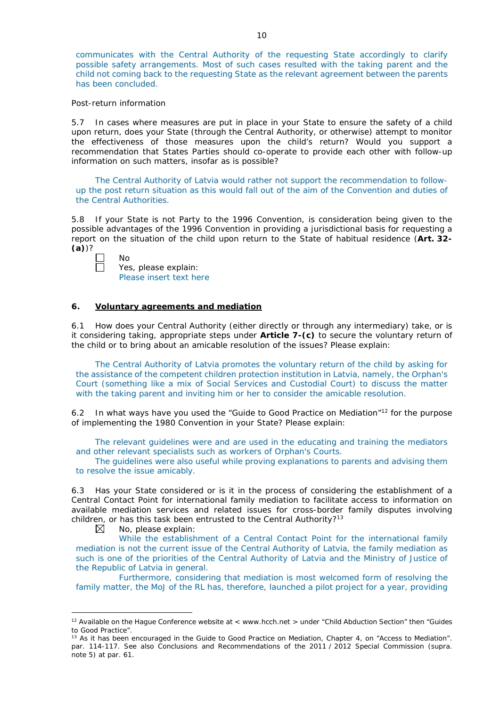communicates with the Central Authority of the requesting State accordingly to clarify possible safety arrangements. Most of such cases resulted with the taking parent and the child not coming back to the requesting State as the relevant agreement between the parents has been concluded.

#### *Post-return information*

5.7 In cases where measures are put in place in your State to ensure the safety of a child upon return, does your State (through the Central Authority, or otherwise) attempt to monitor the effectiveness of those measures upon the child's return? Would you support a recommendation that States Parties should co-operate to provide each other with follow-up information on such matters, insofar as is possible?

The Central Authority of Latvia would rather not support the recommendation to followup the post return situation as this would fall out of the aim of the Convention and duties of the Central Authorities.

5.8 If your State is not Party to the 1996 Convention, is consideration being given to the possible advantages of the 1996 Convention in providing a jurisdictional basis for requesting a report on the situation of the child upon return to the State of habitual residence (**Art. 32- (a)**)?

No

Yes, please explain: Please insert text here

## **6. Voluntary agreements and mediation**

6.1 How does your Central Authority (either directly or through any intermediary) take, or is it considering taking, appropriate steps under **Article 7-(c)** to secure the voluntary return of the child or to bring about an amicable resolution of the issues? Please explain:

The Central Authority of Latvia promotes the voluntary return of the child by asking for the assistance of the competent children protection institution in Latvia, namely, the Orphan's Court (something like a mix of Social Services and Custodial Court) to discuss the matter with the taking parent and inviting him or her to consider the amicable resolution.

6.2 In what ways have you used the "Guide to Good Practice on Mediation"<sup>12</sup> for the purpose of implementing the 1980 Convention in your State? Please explain:

The relevant guidelines were and are used in the educating and training the mediators and other relevant specialists such as workers of Orphan's Courts.

The guidelines were also useful while proving explanations to parents and advising them to resolve the issue amicably.

6.3 Has your State considered or is it in the process of considering the establishment of a Central Contact Point for international family mediation to facilitate access to information on available mediation services and related issues for cross-border family disputes involving children, or has this task been entrusted to the Central Authority?<sup>13</sup>

 $\boxtimes$ No, please explain:

-

While the establishment of a Central Contact Point for the international family mediation is not the current issue of the Central Authority of Latvia, the family mediation as such is one of the priorities of the Central Authority of Latvia and the Ministry of Justice of the Republic of Latvia in general.

Furthermore, considering that mediation is most welcomed form of resolving the family matter, the MoJ of the RL has, therefore, launched a pilot project for a year, providing

<sup>&</sup>lt;sup>12</sup> Available on the Hague Conference website at < www.hcch.net > under "Child Abduction Section" then "Guides to Good Practice".

<sup>&</sup>lt;sup>13</sup> As it has been encouraged in the Guide to Good Practice on Mediation, Chapter 4, on "Access to Mediation". par. 114-117. See also [Conclusions and Recommendations of the 2011](https://assets.hcch.net/upload/wop/concl28sc6_e.pdf) / 2012 Special Commission (*supra.* note 5) at par. 61.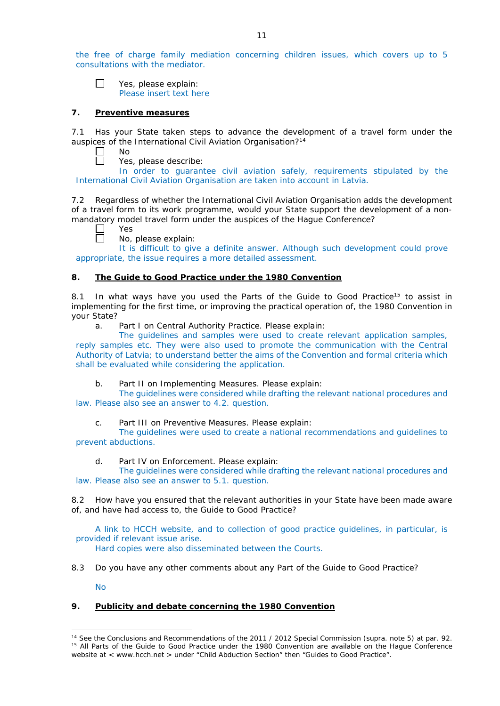the free of charge family mediation concerning children issues, which covers up to 5 consultations with the mediator.

 $\Box$ Yes, please explain: Please insert text here

## **7. Preventive measures**

7.1 Has your State taken steps to advance the development of a travel form under the auspices of the International Civil Aviation Organisation?<sup>14</sup>

No

 $\Box$ 

Yes, please describe:

In order to guarantee civil aviation safely, requirements stipulated by the International Civil Aviation Organisation are taken into account in Latvia.

7.2 Regardless of whether the International Civil Aviation Organisation adds the development of a travel form to its work programme, would your State support the development of a nonmandatory model travel form under the auspices of the Hague Conference?

Yes ┌

 $\Box$ 

No, please explain:

It is difficult to give a definite answer. Although such development could prove appropriate, the issue requires a more detailed assessment.

#### **8. The Guide to Good Practice under the 1980 Convention**

8.1 In what ways have you used the Parts of the Guide to Good Practice<sup>15</sup> to assist in implementing for the first time, or improving the practical operation of, the 1980 Convention in your State?

a. Part I on Central Authority Practice. Please explain:

The guidelines and samples were used to create relevant application samples, reply samples etc. They were also used to promote the communication with the Central Authority of Latvia; to understand better the aims of the Convention and formal criteria which shall be evaluated while considering the application.

b. Part II on Implementing Measures. Please explain:

The guidelines were considered while drafting the relevant national procedures and law. Please also see an answer to 4.2. question.

c. Part III on Preventive Measures. Please explain:

The guidelines were used to create a national recommendations and guidelines to prevent abductions.

d. Part IV on Enforcement. Please explain:

The guidelines were considered while drafting the relevant national procedures and law. Please also see an answer to 5.1. question.

8.2 How have you ensured that the relevant authorities in your State have been made aware of, and have had access to, the Guide to Good Practice?

A link to HCCH website, and to collection of good practice guidelines, in particular, is provided if relevant issue arise.

Hard copies were also disseminated between the Courts.

8.3 Do you have any other comments about any Part of the Guide to Good Practice?

No

-

## **9. Publicity and debate concerning the 1980 Convention**

<sup>14</sup> See the [Conclusions and Recommendations of the 2011](https://assets.hcch.net/upload/wop/concl28sc6_e.pdf) / 2012 Special Commission (*supra.* note 5) at par. 92. <sup>15</sup> All Parts of the Guide to Good Practice under the 1980 Convention are available on the Hague Conference website at < www.hcch.net > under "Child Abduction Section" then "Guides to Good Practice".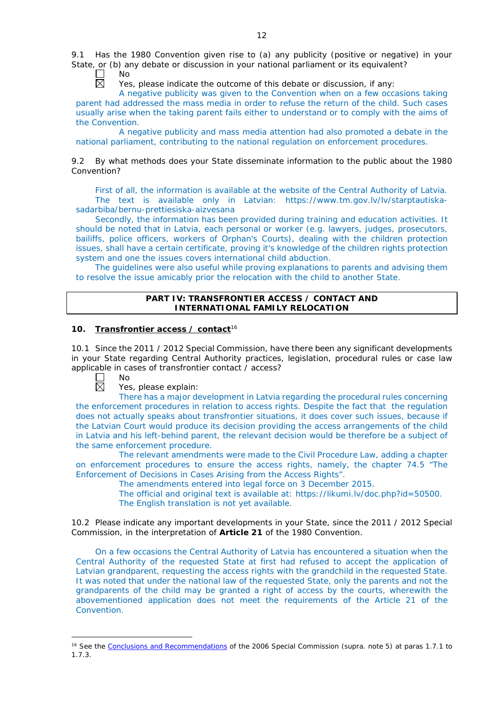9.1 Has the 1980 Convention given rise to (a) any publicity (positive or negative) in your State, or (b) any debate or discussion in your national parliament or its equivalent?

П No  $\overline{\boxtimes}$ 

Yes, please indicate the outcome of this debate or discussion, if any:

A negative publicity was given to the Convention when on a few occasions taking parent had addressed the mass media in order to refuse the return of the child. Such cases usually arise when the taking parent fails either to understand or to comply with the aims of the Convention.

A negative publicity and mass media attention had also promoted a debate in the national parliament, contributing to the national regulation on enforcement procedures.

9.2 By what methods does your State disseminate information to the public about the 1980 Convention?

First of all, the information is available at the website of the Central Authority of Latvia. The text is available only in Latvian: https://www.tm.gov.lv/lv/starptautiskasadarbiba/bernu-prettiesiska-aizvesana

Secondly, the information has been provided during training and education activities. It should be noted that in Latvia, each personal or worker (e.g. lawyers, judges, prosecutors, bailiffs, police officers, workers of Orphan's Courts), dealing with the children protection issues, shall have a certain certificate, proving it's knowledge of the children rights protection system and one the issues covers international child abduction.

The guidelines were also useful while proving explanations to parents and advising them to resolve the issue amicably prior the relocation with the child to another State.

## **PART IV: TRANSFRONTIER ACCESS / CONTACT AND INTERNATIONAL FAMILY RELOCATION**

## **10. Transfrontier access / contact**<sup>16</sup>

10.1 Since the 2011 / 2012 Special Commission, have there been any significant developments in your State regarding Central Authority practices, legislation, procedural rules or case law applicable in cases of transfrontier contact / access?

No  $\overline{\boxtimes}$ 

-

Yes, please explain:

There has a major development in Latvia regarding the procedural rules concerning the enforcement procedures in relation to access rights. Despite the fact that the regulation does not actually speaks about transfrontier situations, it does cover such issues, because if the Latvian Court would produce its decision providing the access arrangements of the child in Latvia and his left-behind parent, the relevant decision would be therefore be a subject of the same enforcement procedure.

The relevant amendments were made to the Civil Procedure Law, adding a chapter on enforcement procedures to ensure the access rights, namely, the chapter 74.5 "The Enforcement of Decisions in Cases Arising from the Access Rights".

The amendments entered into legal force on 3 December 2015.

The official and original text is available at: https://likumi.lv/doc.php?id=50500.

The English translation is not yet available.

10.2 Please indicate any important developments in your State, since the 2011 / 2012 Special Commission, in the interpretation of **Article 21** of the 1980 Convention.

On a few occasions the Central Authority of Latvia has encountered a situation when the Central Authority of the requested State at first had refused to accept the application of Latvian grandparent, requesting the access rights with the grandchild in the requested State. It was noted that under the national law of the requested State, only the parents and not the grandparents of the child may be granted a right of access by the courts, wherewith the abovementioned application does not meet the requirements of the Article 21 of the Convention.

<sup>&</sup>lt;sup>16</sup> See the [Conclusions and Recommendations](https://assets.hcch.net/upload/concl28sc5_e.pdf) of the 2006 Special Commission (supra. note 5) at paras 1.7.1 to 1.7.3.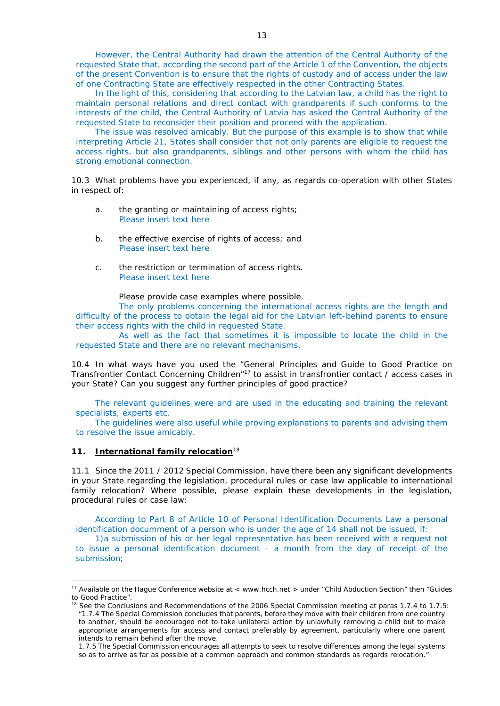However, the Central Authority had drawn the attention of the Central Authority of the requested State that, according the second part of the Article 1 of the Convention, the objects of the present Convention is to ensure that the rights of custody and of access under the law of one Contracting State are effectively respected in the other Contracting States.

In the light of this, considering that according to the Latvian law, a child has the right to maintain personal relations and direct contact with grandparents if such conforms to the interests of the child, the Central Authority of Latvia has asked the Central Authority of the requested State to reconsider their position and proceed with the application.

The issue was resolved amicably. But the purpose of this example is to show that while interpreting Article 21, States shall consider that not only parents are eligible to request the access rights, but also grandparents, siblings and other persons with whom the child has strong emotional connection.

10.3 What problems have you experienced, if any, as regards co-operation with other States in respect of:

- a. the granting or maintaining of access rights; Please insert text here
- b. the effective exercise of rights of access; and Please insert text here
- c. the restriction or termination of access rights. Please insert text here

Please provide case examples where possible.

The only problems concerning the international access rights are the length and difficulty of the process to obtain the legal aid for the Latvian left-behind parents to ensure their access rights with the child in requested State.

As well as the fact that sometimes it is impossible to locate the child in the requested State and there are no relevant mechanisms.

10.4 In what ways have you used the "General Principles and Guide to Good Practice on Transfrontier Contact Concerning Children"17 to assist in transfrontier contact / access cases in your State? Can you suggest any further principles of good practice?

The relevant guidelines were and are used in the educating and training the relevant specialists, experts etc.

The guidelines were also useful while proving explanations to parents and advising them to resolve the issue amicably.

# **11. International family relocation**<sup>18</sup>

<u>.</u>

11.1 Since the 2011 / 2012 Special Commission, have there been any significant developments in your State regarding the legislation, procedural rules or case law applicable to international family relocation? Where possible, please explain these developments in the legislation, procedural rules or case law:

According to Part 8 of Article 10 of Personal Identification Documents Law a personal identification documment of a person who is under the age of 14 shall not be issued, if:

1)a submission of his or her legal representative has been received with a request not to issue a personal identification document - a month from the day of receipt of the submission;

<sup>&</sup>lt;sup>17</sup> Available on the Hague Conference website at < www.hcch.net > under "Child Abduction Section" then "Guides to Good Practice".

<sup>&</sup>lt;sup>18</sup> See the Conclusions and Recommendations of the 2006 Special Commission meeting at paras 1.7.4 to 1.7.5: *"*1.7.4 The Special Commission concludes that parents, before they move with their children from one country to another, should be encouraged not to take unilateral action by unlawfully removing a child but to make appropriate arrangements for access and contact preferably by agreement, particularly where one parent intends to remain behind after the move.

<sup>1.7.5</sup> The Special Commission encourages all attempts to seek to resolve differences among the legal systems so as to arrive as far as possible at a common approach and common standards as regards relocation."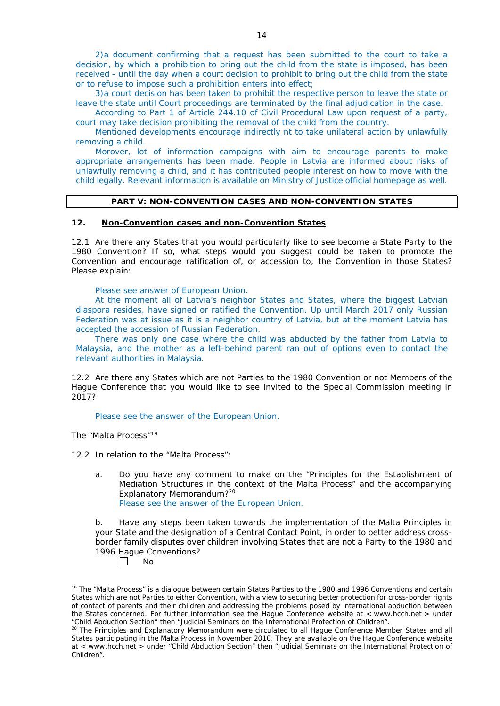2)a document confirming that a request has been submitted to the court to take a decision, by which a prohibition to bring out the child from the state is imposed, has been received - until the day when a court decision to prohibit to bring out the child from the state or to refuse to impose such a prohibition enters into effect;

3)a court decision has been taken to prohibit the respective person to leave the state or leave the state until Court proceedings are terminated by the final adjudication in the case.

According to Part 1 of Article 244.10 of Civil Procedural Law upon request of a party, court may take decision prohibiting the removal of the child from the country.

Mentioned developments encourage indirectly nt to take unilateral action by unlawfully removing a child.

Morover, lot of information campaigns with aim to encourage parents to make appropriate arrangements has been made. People in Latvia are informed about risks of unlawfully removing a child, and it has contributed people interest on how to move with the child legally. Relevant information is available on Ministry of Justice official homepage as well.

#### **PART V: NON-CONVENTION CASES AND NON-CONVENTION STATES**

#### **12. Non-Convention cases and non-Convention States**

12.1 Are there any States that you would particularly like to see become a State Party to the 1980 Convention? If so, what steps would you suggest could be taken to promote the Convention and encourage ratification of, or accession to, the Convention in those States? Please explain:

Please see answer of European Union.

At the moment all of Latvia's neighbor States and States, where the biggest Latvian diaspora resides, have signed or ratified the Convention. Up until March 2017 only Russian Federation was at issue as it is a neighbor country of Latvia, but at the moment Latvia has accepted the accession of Russian Federation.

There was only one case where the child was abducted by the father from Latvia to Malaysia, and the mother as a left-behind parent ran out of options even to contact the relevant authorities in Malaysia.

12.2 Are there any States which are not Parties to the 1980 Convention or not Members of the Hague Conference that you would like to see invited to the Special Commission meeting in 2017?

#### Please see the answer of the European Union.

*The "Malta Process"*<sup>19</sup>

12.2 In relation to the "Malta Process":

a. Do you have any comment to make on the "Principles for the Establishment of Mediation Structures in the context of the Malta Process" and the accompanying Explanatory Memorandum?20 Please see the answer of the European Union.

b. Have any steps been taken towards the implementation of the Malta Principles in your State and the designation of a Central Contact Point, in order to better address crossborder family disputes over children involving States that are not a Party to the 1980 and 1996 Hague Conventions?

 $\Box$ No

<u>.</u>

<sup>&</sup>lt;sup>19</sup> The "Malta Process" is a dialogue between certain States Parties to the 1980 and 1996 Conventions and certain States which are not Parties to either Convention, with a view to securing better protection for cross-border rights of contact of parents and their children and addressing the problems posed by international abduction between the States concerned. For further information see the Hague Conference website at < www.hcch.net > under "Child Abduction Section" then "Judicial Seminars on the International Protection of Children".

<sup>&</sup>lt;sup>20</sup> The Principles and Explanatory Memorandum were circulated to all Hague Conference Member States and all States participating in the Malta Process in November 2010. They are available on the Hague Conference website at < www.hcch.net > under "Child Abduction Section" then "Judicial Seminars on the International Protection of Children".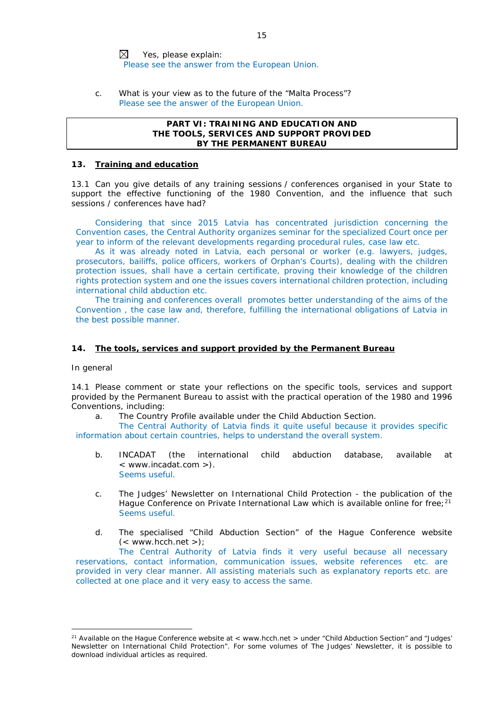⊠ Yes, please explain: Please see the answer from the European Union.

c. What is your view as to the future of the "Malta Process"? Please see the answer of the European Union.

## **PART VI: TRAINING AND EDUCATION AND THE TOOLS, SERVICES AND SUPPORT PROVIDED BY THE PERMANENT BUREAU**

## **13. Training and education**

13.1 Can you give details of any training sessions / conferences organised in your State to support the effective functioning of the 1980 Convention, and the influence that such sessions / conferences have had?

Considering that since 2015 Latvia has concentrated jurisdiction concerning the Convention cases, the Central Authority organizes seminar for the specialized Court once per year to inform of the relevant developments regarding procedural rules, case law etc.

As it was already noted in Latvia, each personal or worker (e.g. lawyers, judges, prosecutors, bailiffs, police officers, workers of Orphan's Courts), dealing with the children protection issues, shall have a certain certificate, proving their knowledge of the children rights protection system and one the issues covers international children protection, including international child abduction etc.

The training and conferences overall promotes better understanding of the aims of the Convention , the case law and, therefore, fulfilling the international obligations of Latvia in the best possible manner.

## **14. The tools, services and support provided by the Permanent Bureau**

#### *In general*

-

14.1 Please comment or state your reflections on the specific tools, services and support provided by the Permanent Bureau to assist with the practical operation of the 1980 and 1996 Conventions, including:

a. The Country Profile available under the Child Abduction Section.

The Central Authority of Latvia finds it quite useful because it provides specific information about certain countries, helps to understand the overall system.

- b. INCADAT (the international child abduction database, available at < www.incadat.com >). Seems useful.
- c. *The Judges' Newsletter* on International Child Protection the publication of the Hague Conference on Private International Law which is available online for free;<sup>21</sup> Seems useful.
- d. The specialised "Child Abduction Section" of the Hague Conference website  $(<$  www.hcch.net >);

The Central Authority of Latvia finds it very useful because all necessary reservations, contact information, communication issues, website references etc. are provided in very clear manner. All assisting materials such as explanatory reports etc. are collected at one place and it very easy to access the same.

<sup>&</sup>lt;sup>21</sup> Available on the Hague Conference website at < www.hcch.net > under "Child Abduction Section" and "Judges' Newsletter on International Child Protection". For some volumes of *The Judges' Newsletter*, it is possible to download individual articles as required.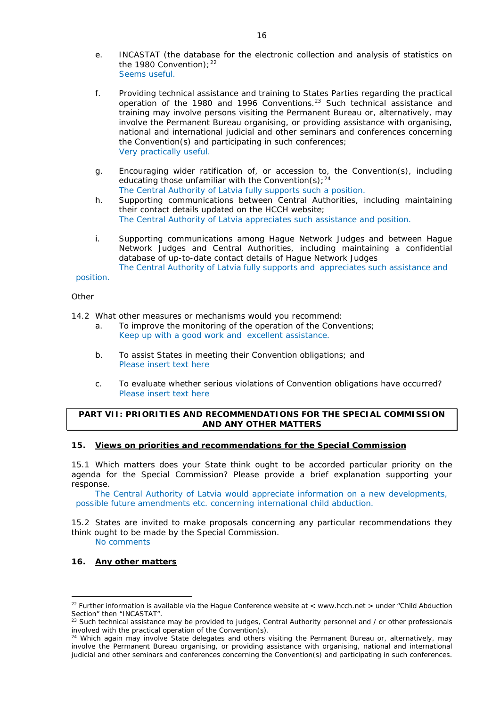- e. INCASTAT (the database for the electronic collection and analysis of statistics on the 1980 Convention):  $22$ Seems useful.
- f. Providing technical assistance and training to States Parties regarding the practical operation of the 1980 and 1996 Conventions.<sup>23</sup> Such technical assistance and training may involve persons visiting the Permanent Bureau or, alternatively, may involve the Permanent Bureau organising, or providing assistance with organising, national and international judicial and other seminars and conferences concerning the Convention(s) and participating in such conferences; Very practically useful.
- g. Encouraging wider ratification of, or accession to, the Convention(s), including educating those unfamiliar with the Convention(s);  $24$ The Central Authority of Latvia fully supports such a position.
- h. Supporting communications between Central Authorities, including maintaining their contact details updated on the HCCH website; The Central Authority of Latvia appreciates such assistance and position.
- i. Supporting communications among Hague Network Judges and between Hague Network Judges and Central Authorities, including maintaining a confidential database of up-to-date contact details of Hague Network Judges

The Central Authority of Latvia fully supports and appreciates such assistance and

# position.

## *Other*

14.2 What other measures or mechanisms would you recommend:

- a. To improve the monitoring of the operation of the Conventions; Keep up with a good work and excellent assistance.
- b. To assist States in meeting their Convention obligations; and Please insert text here
- c. To evaluate whether serious violations of Convention obligations have occurred? Please insert text here

# **PART VII: PRIORITIES AND RECOMMENDATIONS FOR THE SPECIAL COMMISSION AND ANY OTHER MATTERS**

## **15. Views on priorities and recommendations for the Special Commission**

15.1 Which matters does your State think ought to be accorded particular priority on the agenda for the Special Commission? Please provide a brief explanation supporting your response.

The Central Authority of Latvia would appreciate information on a new developments, possible future amendments etc. concerning international child abduction.

15.2 States are invited to make proposals concerning any particular recommendations they think ought to be made by the Special Commission. No comments

# **16. Any other matters**

<u>.</u>

<sup>&</sup>lt;sup>22</sup> Further information is available via the Hague Conference website at < www.hcch.net > under "Child Abduction" Section" then "INCASTAT".

 $^{23}$  Such technical assistance may be provided to judges, Central Authority personnel and / or other professionals involved with the practical operation of the Convention(s).

<sup>&</sup>lt;sup>24</sup> Which again may involve State delegates and others visiting the Permanent Bureau or, alternatively, may involve the Permanent Bureau organising, or providing assistance with organising, national and international judicial and other seminars and conferences concerning the Convention(s) and participating in such conferences.